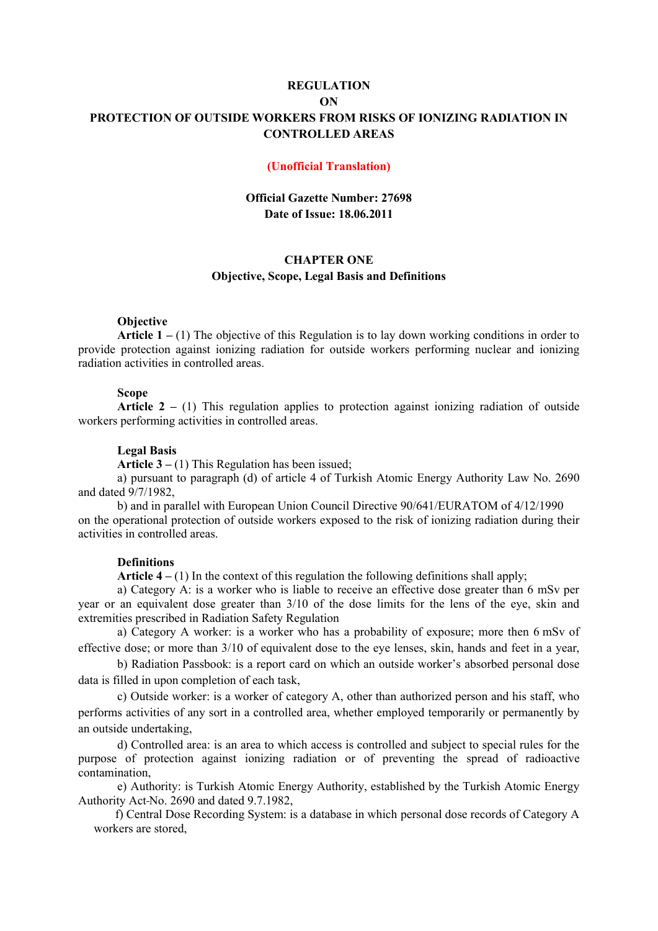# **REGULATION ON PROTECTION OF OUTSIDE WORKERS FROM RISKS OF IONIZING RADIATION IN CONTROLLED AREAS**

### **(Unofficial Translation)**

## **Official Gazette Number: 27698 Date of Issue: 18.06.2011**

# **CHAPTER ONE Objective, Scope, Legal Basis and Definitions**

### **Objective**

**Article 1 –** (1) The objective of this Regulation is to lay down working conditions in order to provide protection against ionizing radiation for outside workers performing nuclear and ionizing radiation activities in controlled areas.

# **Scope**

**Article 2 –** (1) This regulation applies to protection against ionizing radiation of outside workers performing activities in controlled areas.

### **Legal Basis**

**Article 3 –** (1) This Regulation has been issued;

a) pursuant to paragraph (d) of article 4 of Turkish Atomic Energy Authority Law No. 2690 and dated 9/7/1982,

b) and in parallel with European Union Council Directive 90/641/EURATOM of 4/12/1990 on the operational protection of outside workers exposed to the risk of ionizing radiation during their activities in controlled areas.

### **Definitions**

**Article 4** – (1) In the context of this regulation the following definitions shall apply;

a) Category A: is a worker who is liable to receive an effective dose greater than 6 mSv per year or an equivalent dose greater than 3/10 of the dose limits for the lens of the eye, skin and extremities prescribed in Radiation Safety Regulation

a) Category A worker: is a worker who has a probability of exposure; more then 6 mSv of effective dose; or more than 3/10 of equivalent dose to the eye lenses, skin, hands and feet in a year,

 b) Radiation Passbook: is a report card on which an outside worker's absorbed personal dose data is filled in upon completion of each task,

c) Outside worker: is a worker of category A, other than authorized person and his staff, who performs activities of any sort in a controlled area, whether employed temporarily or permanently by an outside undertaking,

 d) Controlled area: is an area to which access is controlled and subject to special rules for the purpose of protection against ionizing radiation or of preventing the spread of radioactive contamination,

 e) Authority: is Turkish Atomic Energy Authority, established by the Turkish Atomic Energy Authority Act No. 2690 and dated 9.7.1982,

 f) Central Dose Recording System: is a database in which personal dose records of Category A workers are stored,